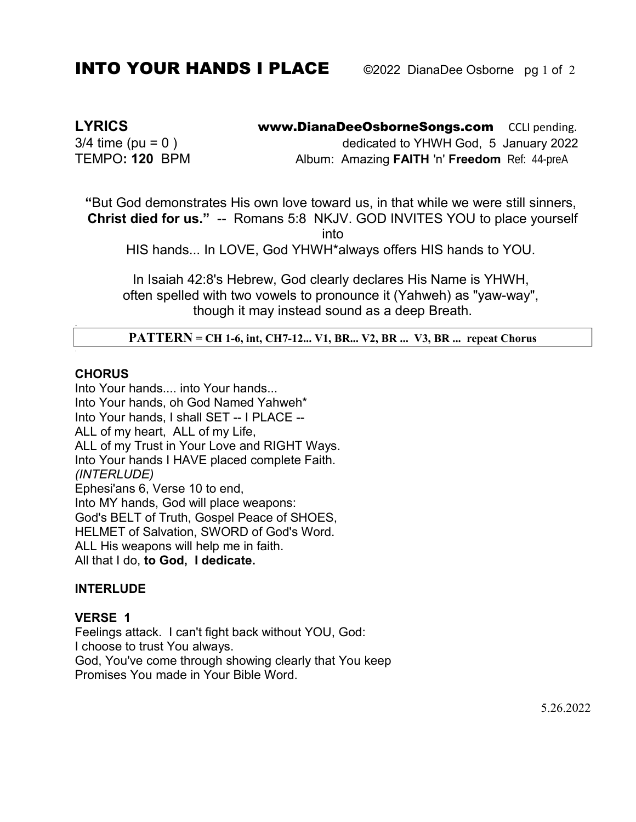# **INTO YOUR HANDS I PLACE** © 2022 DianaDee Osborne pg 1 of 2

**LYRICS** www.DianaDeeOsborneSongs.com CCLI pending.  $3/4$  time (pu = 0) dedicated to YHWH God, 5 January 2022 TEMPO**: 120** BPM Album: Amazing **FAITH** 'n' **Freedom** Ref: 44-preA

**"**But God demonstrates His own love toward us, in that while we were still sinners, **Christ died for us."** -- Romans 5:8 NKJV. GOD INVITES YOU to place yourself into

HIS hands... In LOVE, God YHWH\*always offers HIS hands to YOU.

In Isaiah 42:8's Hebrew, God clearly declares His Name is YHWH, often spelled with two vowels to pronounce it (Yahweh) as "yaw-way", though it may instead sound as a deep Breath.

**PATTERN = CH 1-6, int, CH7-12... V1, BR... V2, BR ... V3, BR ... repeat Chorus** 

## **CHORUS**

.

*.*

Into Your hands.... into Your hands... Into Your hands, oh God Named Yahweh\* Into Your hands, I shall SET -- I PLACE -- ALL of my heart, ALL of my Life, ALL of my Trust in Your Love and RIGHT Ways. Into Your hands I HAVE placed complete Faith. *(INTERLUDE)* Ephesi'ans 6, Verse 10 to end, Into MY hands, God will place weapons: God's BELT of Truth, Gospel Peace of SHOES, HELMET of Salvation, SWORD of God's Word. ALL His weapons will help me in faith. All that I do, **to God, I dedicate.**

### **INTERLUDE**

### **VERSE 1**

Feelings attack. I can't fight back without YOU, God: I choose to trust You always. God, You've come through showing clearly that You keep Promises You made in Your Bible Word.